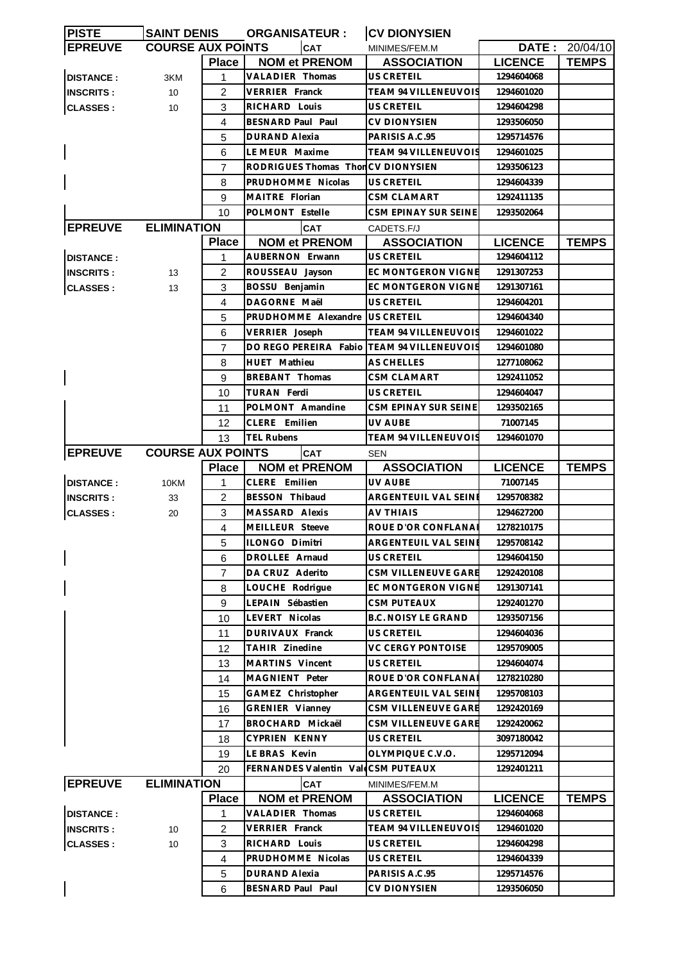| <b>PISTE</b>     | <b>SAINT DENIS</b>       |                | <b>ORGANISATEUR:</b>               | <b>CV DIONYSIEN</b>         |                |                |
|------------------|--------------------------|----------------|------------------------------------|-----------------------------|----------------|----------------|
| <b>EPREUVE</b>   | <b>COURSE AUX POINTS</b> |                | <b>CAT</b>                         | MINIMES/FEM.M               |                | DATE: 20/04/10 |
|                  |                          | <b>Place</b>   | <b>NOM et PRENOM</b>               | <b>ASSOCIATION</b>          | <b>LICENCE</b> | <b>TEMPS</b>   |
| <b>DISTANCE:</b> | 3KM                      | 1              | <b>VALADIER Thomas</b>             | US CRETEIL                  | 1294604068     |                |
| <b>INSCRITS:</b> | 10                       | 2              | <b>VERRIER Franck</b>              | <b>TEAM 94 VILLENEUVOIS</b> | 1294601020     |                |
| <b>CLASSES:</b>  | 10                       | 3              | RICHARD Louis                      | US CRETEIL                  | 1294604298     |                |
|                  |                          | 4              | BESNARD Paul Paul                  | <b>CV DIONYSIEN</b>         | 1293506050     |                |
|                  |                          | 5              | <b>DURAND Alexia</b>               | PARISIS A.C.95              | 1295714576     |                |
|                  |                          | 6              | LE MEUR Maxime                     | <b>TEAM 94 VILLENEUVOIS</b> | 1294601025     |                |
|                  |                          |                |                                    |                             |                |                |
|                  |                          | 7              | RODRIGUES Thomas ThonCV DIONYSIEN  |                             | 1293506123     |                |
|                  |                          | 8              | PRUDHOMME Nicolas                  | <b>US CRETEIL</b>           | 1294604339     |                |
|                  |                          | 9              | MAITRE Florian                     | <b>CSM CLAMART</b>          | 1292411135     |                |
|                  |                          | 10             | POLMONT Estelle                    | CSM EPINAY SUR SEINE        | 1293502064     |                |
| <b>EPREUVE</b>   | <b>ELIMINATION</b>       |                | <b>CAT</b>                         | CADETS.F/J                  |                |                |
|                  |                          | <b>Place</b>   | <b>NOM et PRENOM</b>               | <b>ASSOCIATION</b>          | <b>LICENCE</b> | <b>TEMPS</b>   |
| <b>DISTANCE:</b> |                          | 1              | <b>AUBERNON Erwann</b>             | <b>US CRETEIL</b>           | 1294604112     |                |
| <b>INSCRITS:</b> | 13                       | $\overline{2}$ | ROUSSEAU Jayson                    | EC MONTGERON VIGNE          | 1291307253     |                |
| <b>CLASSES:</b>  | 13                       | 3              | BOSSU Benjamin                     | EC MONTGERON VIGNE          | 1291307161     |                |
|                  |                          | 4              | DAGORNE Maël                       | <b>US CRETEIL</b>           | 1294604201     |                |
|                  |                          | 5              | PRUDHOMME Alexandre                | <b>US CRETEIL</b>           | 1294604340     |                |
|                  |                          | 6              | VERRIER Joseph                     | TEAM 94 VILLENEUVOIS        | 1294601022     |                |
|                  |                          | $\overline{7}$ | DO REGO PEREIRA Fabio              | <b>TEAM 94 VILLENEUVOIS</b> | 1294601080     |                |
|                  |                          | 8              | HUET Mathieu                       | AS CHELLES                  | 1277108062     |                |
|                  |                          | 9              | BREBANT Thomas                     | <b>CSM CLAMART</b>          | 1292411052     |                |
|                  |                          | 10             | TURAN Ferdi                        | US CRETEIL                  | 1294604047     |                |
|                  |                          |                |                                    |                             |                |                |
|                  |                          | 11             | POLMONT Amandine                   | CSM EPINAY SUR SEINE        | 1293502165     |                |
|                  |                          | 12             | CLERE Emilien                      | UV AUBE                     | 71007145       |                |
|                  |                          | 13             | <b>TEL Rubens</b>                  | <b>TEAM 94 VILLENEUVOIS</b> | 1294601070     |                |
| <b>EPREUVE</b>   | <b>COURSE AUX POINTS</b> |                | <b>CAT</b>                         | <b>SEN</b>                  |                |                |
|                  |                          | <b>Place</b>   | <b>NOM et PRENOM</b>               | <b>ASSOCIATION</b>          | <b>LICENCE</b> | <b>TEMPS</b>   |
| <b>DISTANCE:</b> | 10KM                     | 1              | CLERE Emilien                      | UV AUBE                     | 71007145       |                |
| <b>INSCRITS:</b> | 33                       | 2              | <b>BESSON Thibaud</b>              | ARGENTEUIL VAL SEINE        | 1295708382     |                |
| <b>CLASSES:</b>  | 20                       | 3              | MASSARD Alexis                     | <b>AV THIAIS</b>            | 1294627200     |                |
|                  |                          | 4              | MEILLEUR Steeve                    | ROUE D'OR CONFLANAI         | 1278210175     |                |
|                  |                          | 5              | ILONGO Dimitri                     | <b>ARGENTEUIL VAL SEINE</b> | 1295708142     |                |
|                  |                          | 6              | DROLLEE Arnaud                     | US CRETEIL                  | 1294604150     |                |
|                  |                          | $\overline{7}$ | DA CRUZ Aderito                    | CSM VILLENEUVE GARE         | 1292420108     |                |
|                  |                          | 8              | LOUCHE Rodrigue                    | EC MONTGERON VIGNE          | 1291307141     |                |
|                  |                          | 9              | LEPAIN Sébastien                   | <b>CSM PUTEAUX</b>          | 1292401270     |                |
|                  |                          | 10             | LEVERT Nicolas                     | <b>B.C. NOISY LE GRAND</b>  | 1293507156     |                |
|                  |                          | 11             | DURIVAUX Franck                    | US CRETEIL                  | 1294604036     |                |
|                  |                          | 12             | TAHIR Zinedine                     | VC CERGY PONTOISE           | 1295709005     |                |
|                  |                          | 13             | MARTINS Vincent                    | US CRETEIL                  | 1294604074     |                |
|                  |                          | 14             | MAGNIENT Peter                     | ROUE D'OR CONFLANA          | 1278210280     |                |
|                  |                          |                | GAMEZ Christopher                  | ARGENTEUIL VAL SEINE        | 1295708103     |                |
|                  |                          | 15             |                                    |                             |                |                |
|                  |                          | 16             | <b>GRENIER Vianney</b>             | CSM VILLENEUVE GARE         | 1292420169     |                |
|                  |                          | 17             | BROCHARD Mickaël                   | CSM VILLENEUVE GARE         | 1292420062     |                |
|                  |                          | 18             | CYPRIEN KENNY                      | US CRETEIL                  | 3097180042     |                |
|                  |                          | 19             | LE BRAS Kevin                      | OLYMPIQUE C.V.O.            | 1295712094     |                |
|                  |                          | 20             | FERNANDES Valentin ValeCSM PUTEAUX |                             | 1292401211     |                |
| <b>EPREUVE</b>   | <b>ELIMINATION</b>       |                | <b>CAT</b>                         | MINIMES/FEM.M               |                |                |
|                  |                          | <b>Place</b>   | <b>NOM et PRENOM</b>               | <b>ASSOCIATION</b>          | <b>LICENCE</b> | <b>TEMPS</b>   |
| <b>DISTANCE:</b> |                          | 1              | VALADIER Thomas                    | US CRETEIL                  | 1294604068     |                |
| <b>INSCRITS:</b> | 10                       | $\overline{2}$ | VERRIER Franck                     | TEAM 94 VILLENEUVOIS        | 1294601020     |                |
| <b>CLASSES:</b>  | 10                       | 3              | RICHARD Louis                      | US CRETEIL                  | 1294604298     |                |
|                  |                          | 4              | PRUDHOMME Nicolas                  | <b>US CRETEIL</b>           | 1294604339     |                |
|                  |                          |                | DURAND Alexia                      | PARISIS A.C.95              | 1295714576     |                |
|                  |                          | 5              |                                    |                             |                |                |
|                  |                          | 6              | BESNARD Paul Paul                  | <b>CV DIONYSIEN</b>         | 1293506050     |                |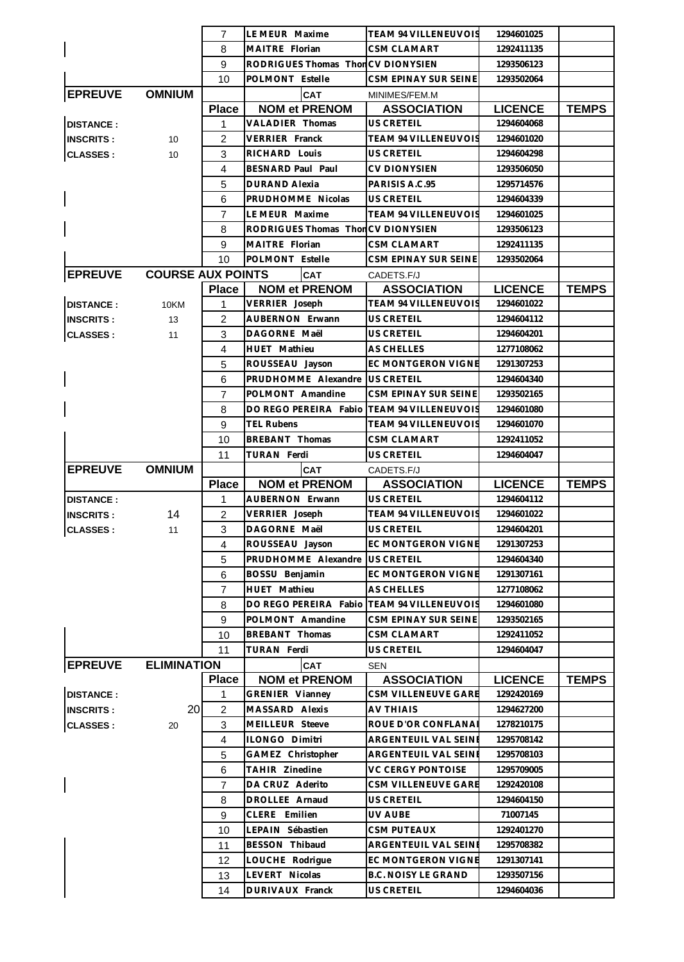|                  |                          | $\overline{7}$ | LE MEUR Maxime                             | TEAM 94 VILLENEUVOIS                     | 1294601025     |              |
|------------------|--------------------------|----------------|--------------------------------------------|------------------------------------------|----------------|--------------|
|                  |                          | 8              | MAITRE Florian                             | <b>CSM CLAMART</b>                       | 1292411135     |              |
|                  |                          | 9              | RODRIGUES Thomas ThonCV DIONYSIEN          |                                          | 1293506123     |              |
|                  |                          | 10             | POLMONT Estelle                            | CSM EPINAY SUR SEINE                     | 1293502064     |              |
| <b>EPREUVE</b>   | <b>OMNIUM</b>            |                | CAT                                        | MINIMES/FEM.M                            |                |              |
|                  |                          | <b>Place</b>   | <b>NOM et PRENOM</b>                       | <b>ASSOCIATION</b>                       | <b>LICENCE</b> | <b>TEMPS</b> |
| <b>DISTANCE:</b> |                          | 1              | VALADIER Thomas                            | US CRETEIL                               | 1294604068     |              |
| <b>INSCRITS:</b> | 10                       | 2              | VERRIER Franck                             | <b>TEAM 94 VILLENEUVOIS</b>              | 1294601020     |              |
| <b>CLASSES:</b>  | 10                       | 3              | RICHARD Louis                              | US CRETEIL                               | 1294604298     |              |
|                  |                          | 4              | BESNARD Paul Paul                          | <b>CV DIONYSIEN</b>                      | 1293506050     |              |
|                  |                          | 5              | <b>DURAND Alexia</b>                       | PARISIS A.C.95                           | 1295714576     |              |
|                  |                          | 6              | PRUDHOMME Nicolas                          | US CRETEIL                               | 1294604339     |              |
|                  |                          | 7              | LE MEUR Maxime                             | <b>TEAM 94 VILLENEUVOIS</b>              | 1294601025     |              |
|                  |                          | 8              | RODRIGUES Thomas ThonCV DIONYSIEN          |                                          | 1293506123     |              |
|                  |                          | 9              | MAITRE Florian                             | <b>CSM CLAMART</b>                       | 1292411135     |              |
|                  |                          | 10             | POLMONT Estelle                            | CSM EPINAY SUR SEINE                     | 1293502064     |              |
| <b>EPREUVE</b>   | <b>COURSE AUX POINTS</b> |                | <b>CAT</b>                                 | CADETS.F/J                               |                |              |
|                  |                          | <b>Place</b>   | <b>NOM et PRENOM</b>                       | <b>ASSOCIATION</b>                       | <b>LICENCE</b> | <b>TEMPS</b> |
| <b>DISTANCE:</b> | 10KM                     | 1              | VERRIER Joseph                             | <b>TEAM 94 VILLENEUVOIS</b>              | 1294601022     |              |
| <b>INSCRITS:</b> | 13                       | 2              | AUBERNON Erwann                            | US CRETEIL                               | 1294604112     |              |
| <b>CLASSES:</b>  | 11                       | 3              | DAGORNE Maël                               | US CRETEIL                               | 1294604201     |              |
|                  |                          | 4              | HUET Mathieu                               | <b>AS CHELLES</b>                        | 1277108062     |              |
|                  |                          | 5              | ROUSSEAU Jayson                            | EC MONTGERON VIGNE                       | 1291307253     |              |
|                  |                          | 6              | PRUDHOMME Alexandre                        | US CRETEIL                               | 1294604340     |              |
|                  |                          | $\overline{7}$ | POLMONT Amandine                           | CSM EPINAY SUR SEINE                     | 1293502165     |              |
|                  |                          | 8              | DO REGO PEREIRA Fabio TEAM 94 VILLENEUVOIS |                                          | 1294601080     |              |
|                  |                          | 9              | <b>TEL Rubens</b>                          | <b>TEAM 94 VILLENEUVOIS</b>              | 1294601070     |              |
|                  |                          | 10             | BREBANT Thomas                             | <b>CSM CLAMART</b>                       | 1292411052     |              |
|                  |                          | 11             | TURAN Ferdi                                | US CRETEIL                               | 1294604047     |              |
|                  |                          |                |                                            |                                          |                |              |
| <b>EPREUVE</b>   | <b>OMNIUM</b>            |                | <b>CAT</b>                                 | CADETS.F/J                               |                |              |
|                  |                          | <b>Place</b>   | <b>NOM et PRENOM</b>                       | <b>ASSOCIATION</b>                       | <b>LICENCE</b> | <b>TEMPS</b> |
| <b>DISTANCE:</b> |                          | $\mathbf{1}$   | AUBERNON Erwann                            | US CRETEIL                               | 1294604112     |              |
| <b>INSCRITS:</b> | 14                       | 2              | VERRIER Joseph                             | <b>TEAM 94 VILLENEUVOIS</b>              | 1294601022     |              |
| <b>CLASSES:</b>  | 11                       | 3              | DAGORNE Maël                               | US CRETEIL                               | 1294604201     |              |
|                  |                          | 4              | ROUSSEAU Jayson                            | EC MONTGERON VIGNE                       | 1291307253     |              |
|                  |                          | 5              | PRUDHOMME Alexandre                        | US CRETEIL                               | 1294604340     |              |
|                  |                          | 6              | BOSSU Benjamin                             | EC MONTGERON VIGNE                       | 1291307161     |              |
|                  |                          | $\overline{7}$ | <b>HUET</b> Mathieu                        | <b>AS CHELLES</b>                        | 1277108062     |              |
|                  |                          | 8              | DO REGO PEREIRA Fabio                      | TEAM 94 VILLENEUVOIS                     | 1294601080     |              |
|                  |                          | 9              | POLMONT Amandine                           | CSM EPINAY SUR SEINE                     | 1293502165     |              |
|                  |                          | 10             | BREBANT Thomas                             | <b>CSM CLAMART</b>                       | 1292411052     |              |
|                  |                          | 11             | TURAN Ferdi                                | US CRETEIL                               | 1294604047     |              |
| <b>EPREUVE</b>   | <b>ELIMINATION</b>       |                | <b>CAT</b>                                 | <b>SEN</b>                               |                |              |
|                  |                          | <b>Place</b>   | <b>NOM et PRENOM</b>                       | <b>ASSOCIATION</b>                       | <b>LICENCE</b> | <b>TEMPS</b> |
| <b>DISTANCE:</b> |                          | 1              | GRENIER Vianney                            | CSM VILLENEUVE GARE                      | 1292420169     |              |
| <b>INSCRITS:</b> | 20                       | 2              | MASSARD Alexis                             | <b>AV THIAIS</b>                         | 1294627200     |              |
| <b>CLASSES:</b>  | 20                       | 3              | MEILLEUR Steeve                            | ROUE D'OR CONFLANAI                      | 1278210175     |              |
|                  |                          | 4              | ILONGO Dimitri                             | ARGENTEUIL VAL SEINE                     | 1295708142     |              |
|                  |                          | 5              | GAMEZ Christopher                          | ARGENTEUIL VAL SEINE                     | 1295708103     |              |
|                  |                          | 6              | TAHIR Zinedine                             | <b>VC CERGY PONTOISE</b>                 | 1295709005     |              |
|                  |                          | $\overline{7}$ | DA CRUZ Aderito                            | CSM VILLENEUVE GARE                      | 1292420108     |              |
|                  |                          | 8              | DROLLEE Arnaud                             | US CRETEIL                               | 1294604150     |              |
|                  |                          | 9              | CLERE Emilien                              | UV AUBE                                  | 71007145       |              |
|                  |                          | 10             | LEPAIN Sébastien                           | <b>CSM PUTEAUX</b>                       | 1292401270     |              |
|                  |                          | 11             | BESSON Thibaud                             | ARGENTEUIL VAL SEINE                     | 1295708382     |              |
|                  |                          | 12             | LOUCHE Rodrigue                            | EC MONTGERON VIGNE                       | 1291307141     |              |
|                  |                          | 13             | LEVERT Nicolas                             | <b>B.C. NOISY LE GRAND</b><br>US CRETEIL | 1293507156     |              |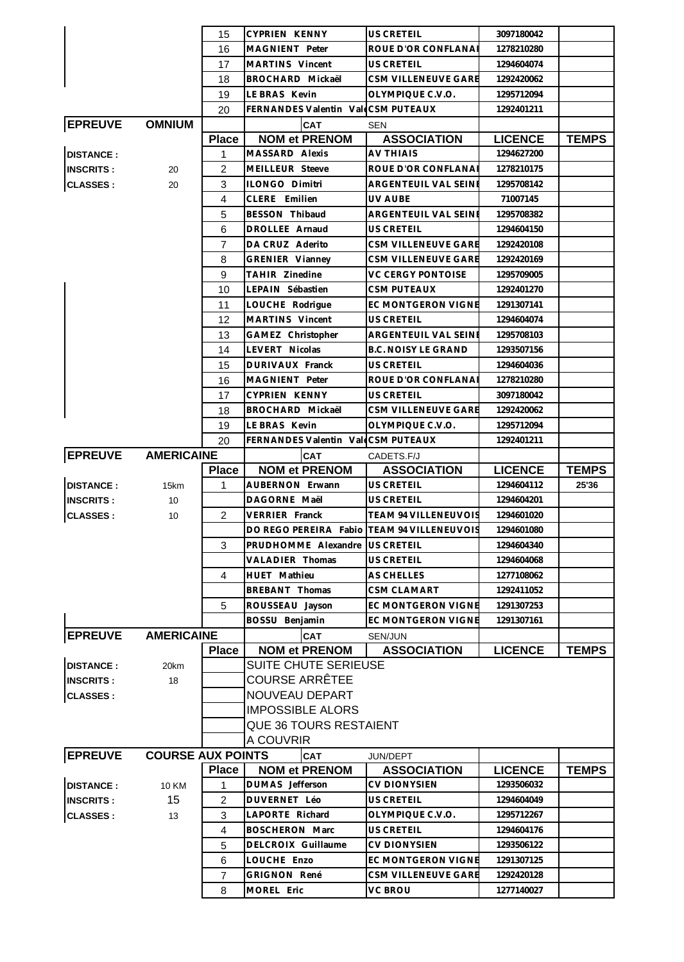|                  |                          | 15                  | <b>CYPRIEN KENNY</b>                       | <b>US CRETEIL</b>                            | 3097180042               |              |
|------------------|--------------------------|---------------------|--------------------------------------------|----------------------------------------------|--------------------------|--------------|
|                  |                          | 16                  | MAGNIENT Peter                             | ROUE D'OR CONFLANA                           | 1278210280               |              |
|                  |                          | 17                  | MARTINS Vincent                            | US CRETEIL                                   | 1294604074               |              |
|                  |                          | 18                  | BROCHARD Mickaël                           | CSM VILLENEUVE GARE                          | 1292420062               |              |
|                  |                          | 19                  | LE BRAS Kevin                              | OLYMPIQUE C.V.O.                             | 1295712094               |              |
|                  |                          | 20                  | FERNANDES Valentin ValeCSM PUTEAUX         |                                              | 1292401211               |              |
| <b>EPREUVE</b>   | <b>OMNIUM</b>            |                     | CAT                                        | <b>SEN</b>                                   |                          |              |
|                  |                          | <b>Place</b>        | <b>NOM et PRENOM</b>                       | <b>ASSOCIATION</b>                           | <b>LICENCE</b>           | <b>TEMPS</b> |
| <b>DISTANCE:</b> |                          | 1                   | MASSARD Alexis                             | <b>AV THIAIS</b>                             | 1294627200               |              |
| <b>INSCRITS:</b> | 20                       | $\overline{2}$      | MEILLEUR Steeve                            | ROUE D'OR CONFLANAI                          | 1278210175               |              |
| <b>CLASSES:</b>  | 20                       | 3                   | ILONGO Dimitri                             | ARGENTEUIL VAL SEINE                         | 1295708142               |              |
|                  |                          | 4                   | CLERE Emilien                              | UV AUBE                                      | 71007145                 |              |
|                  |                          | 5                   | BESSON Thibaud                             | ARGENTEUIL VAL SEINE                         | 1295708382               |              |
|                  |                          | 6                   | DROLLEE Arnaud                             | <b>US CRETEIL</b>                            | 1294604150               |              |
|                  |                          | $\overline{7}$      | DA CRUZ Aderito                            | <b>CSM VILLENEUVE GARE</b>                   | 1292420108               |              |
|                  |                          | 8                   | GRENIER Vianney                            | CSM VILLENEUVE GARE                          | 1292420169               |              |
|                  |                          | 9                   | TAHIR Zinedine                             | <b>VC CERGY PONTOISE</b>                     | 1295709005               |              |
|                  |                          | 10                  | LEPAIN Sébastien                           | <b>CSM PUTEAUX</b>                           | 1292401270               |              |
|                  |                          | 11                  | LOUCHE Rodrigue                            | EC MONTGERON VIGNE                           | 1291307141               |              |
|                  |                          | 12                  | MARTINS Vincent                            | US CRETEIL                                   | 1294604074               |              |
|                  |                          | 13                  | GAMEZ Christopher                          | ARGENTEUIL VAL SEINE                         | 1295708103               |              |
|                  |                          | 14                  | LEVERT Nicolas                             | <b>B.C. NOISY LE GRAND</b>                   | 1293507156               |              |
|                  |                          | 15                  | DURIVAUX Franck                            | US CRETEIL                                   | 1294604036               |              |
|                  |                          | 16                  | MAGNIENT Peter                             | ROUE D'OR CONFLANAI                          | 1278210280               |              |
|                  |                          | 17                  | <b>CYPRIEN KENNY</b>                       | <b>US CRETEIL</b>                            | 3097180042               |              |
|                  |                          | 18                  | BROCHARD Mickaël                           | CSM VILLENEUVE GARE                          | 1292420062               |              |
|                  |                          | 19                  | LE BRAS Kevin                              | OLYMPIQUE C.V.O.                             | 1295712094               |              |
|                  |                          | 20                  | FERNANDES Valentin ValeCSM PUTEAUX         |                                              | 1292401211               |              |
| <b>EPREUVE</b>   | <b>AMERICAINE</b>        |                     | <b>CAT</b>                                 | CADETS.F/J                                   |                          |              |
|                  |                          |                     |                                            |                                              |                          |              |
|                  |                          |                     |                                            |                                              |                          |              |
|                  |                          | <b>Place</b>        | <b>NOM et PRENOM</b>                       | <b>ASSOCIATION</b>                           | <b>LICENCE</b>           | <b>TEMPS</b> |
| <b>DISTANCE:</b> | 15km                     | 1                   | <b>AUBERNON Erwann</b>                     | US CRETEIL                                   | 1294604112               | 25'36        |
| <b>INSCRITS:</b> | 10                       |                     | DAGORNE Maël                               | <b>US CRETEIL</b>                            | 1294604201               |              |
| <b>CLASSES:</b>  | 10                       | 2                   | <b>VERRIER Franck</b>                      | TEAM 94 VILLENEUVOIS                         | 1294601020               |              |
|                  |                          |                     | DO REGO PEREIRA Fabio TEAM 94 VILLENEUVOIS |                                              | 1294601080               |              |
|                  |                          | 3                   | PRUDHOMME Alexandre                        | US CRETEIL                                   | 1294604340               |              |
|                  |                          |                     | VALADIER Thomas                            | US CRETEIL                                   | 1294604068               |              |
|                  |                          | 4                   | HUET Mathieu                               | <b>AS CHELLES</b>                            | 1277108062               |              |
|                  |                          |                     | BREBANT Thomas                             | CSM CLAMART                                  | 1292411052               |              |
|                  |                          | 5                   | ROUSSEAU Jayson                            | EC MONTGERON VIGNE                           | 1291307253               |              |
|                  |                          |                     | BOSSU Benjamin                             | EC MONTGERON VIGNE                           | 1291307161               |              |
| <b>EPREUVE</b>   | <b>AMERICAINE</b>        |                     | <b>CAT</b>                                 | SEN/JUN                                      |                          |              |
|                  |                          | <b>Place</b>        | <b>NOM et PRENOM</b>                       | <b>ASSOCIATION</b>                           | <b>LICENCE</b>           | <b>TEMPS</b> |
| <b>DISTANCE:</b> | 20km                     |                     | SUITE CHUTE SERIEUSE                       |                                              |                          |              |
| <b>INSCRITS:</b> | 18                       |                     | <b>COURSE ARRÊTEE</b>                      |                                              |                          |              |
| <b>CLASSES:</b>  |                          |                     | NOUVEAU DEPART                             |                                              |                          |              |
|                  |                          |                     | <b>IMPOSSIBLE ALORS</b>                    |                                              |                          |              |
|                  |                          |                     | <b>QUE 36 TOURS RESTAIENT</b>              |                                              |                          |              |
|                  |                          |                     | A COUVRIR                                  |                                              |                          |              |
| <b>EPREUVE</b>   | <b>COURSE AUX POINTS</b> |                     | <b>CAT</b>                                 | JUN/DEPT                                     |                          |              |
|                  |                          | <b>Place</b>        | <b>NOM et PRENOM</b>                       | <b>ASSOCIATION</b>                           | <b>LICENCE</b>           | <b>TEMPS</b> |
| <b>DISTANCE:</b> | 10 KM                    | 1                   | DUMAS Jefferson                            | <b>CV DIONYSIEN</b>                          | 1293506032               |              |
| <b>INSCRITS:</b> | 15                       | 2                   | DUVERNET Léo                               | <b>US CRETEIL</b>                            | 1294604049               |              |
| <b>CLASSES:</b>  | 13                       | 3                   | LAPORTE Richard                            | OLYMPIQUE C.V.O.                             | 1295712267               |              |
|                  |                          | $\overline{4}$      | <b>BOSCHERON Marc</b>                      | US CRETEIL                                   | 1294604176               |              |
|                  |                          | 5                   | DELCROIX Guillaume                         | <b>CV DIONYSIEN</b>                          | 1293506122               |              |
|                  |                          | 6                   | LOUCHE Enzo                                | EC MONTGERON VIGNE                           | 1291307125               |              |
|                  |                          | $\overline{7}$<br>8 | <b>GRIGNON René</b><br>MOREL Eric          | <b>CSM VILLENEUVE GARE</b><br><b>VC BROU</b> | 1292420128<br>1277140027 |              |